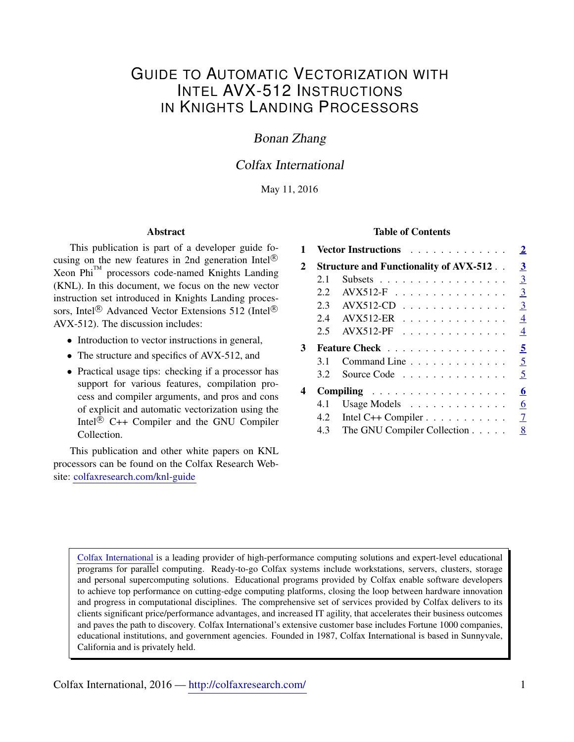# GUIDE TO AUTOMATIC VECTORIZATION WITH INTEL AVX-512 INSTRUCTIONS IN KNIGHTS LANDING PROCESSORS

## Bonan Zhang

## Colfax International

### May 11, 2016

#### Abstract

This publication is part of a developer guide focusing on the new features in 2nd generation Intel $^{\circledR}$  $Xeon Phi<sup>TM</sup>$  processors code-named Knights Landing (KNL). In this document, we focus on the new vector instruction set introduced in Knights Landing processors, Intel<sup>®</sup> Advanced Vector Extensions 512 (Intel<sup>®</sup>) AVX-512). The discussion includes:

- Introduction to vector instructions in general,
- The structure and specifics of AVX-512, and
- Practical usage tips: checking if a processor has support for various features, compilation process and compiler arguments, and pros and cons of explicit and automatic vectorization using the Intel ${}^{\circledR}$  C++ Compiler and the GNU Compiler Collection.

This publication and other white papers on KNL processors can be found on the Colfax Research Website: [colfaxresearch.com/knl-guide](http://colfaxresearch.com/knl-guide/)

### Table of Contents

| 1            | Vector Instructions                           | $\overline{2}$                               |                |  |  |  |
|--------------|-----------------------------------------------|----------------------------------------------|----------------|--|--|--|
| $\mathbf{2}$ | <b>Structure and Functionality of AVX-512</b> |                                              |                |  |  |  |
|              | 2.1                                           | Subsets                                      | $\overline{3}$ |  |  |  |
|              | 2.2                                           | $AVX512-F$                                   | $\overline{3}$ |  |  |  |
|              |                                               | 2.3 AVX512-CD                                | $\overline{3}$ |  |  |  |
|              |                                               | 2.4 AVX512-ER                                | $\overline{4}$ |  |  |  |
|              | 2.5                                           | $AVX512-PF$                                  | 4              |  |  |  |
| 3            | Feature Check                                 |                                              |                |  |  |  |
|              | 3.1                                           | Command Line                                 | 5              |  |  |  |
|              | 3.2                                           | Source Code                                  | 5              |  |  |  |
| 4            | Compiling                                     |                                              |                |  |  |  |
|              | 4.1                                           | Usage Models $\dots \dots \dots \dots$       | 6              |  |  |  |
|              | 4.2                                           | Intel C++ Compiler $\dots \dots \dots \dots$ | $\overline{7}$ |  |  |  |
|              |                                               | 4.3 The GNU Compiler Collection              | 8              |  |  |  |

[Colfax International](http://www.colfax-intl.com/) is a leading provider of high-performance computing solutions and expert-level educational programs for parallel computing. Ready-to-go Colfax systems include workstations, servers, clusters, storage and personal supercomputing solutions. Educational programs provided by Colfax enable software developers to achieve top performance on cutting-edge computing platforms, closing the loop between hardware innovation and progress in computational disciplines. The comprehensive set of services provided by Colfax delivers to its clients significant price/performance advantages, and increased IT agility, that accelerates their business outcomes and paves the path to discovery. Colfax International's extensive customer base includes Fortune 1000 companies, educational institutions, and government agencies. Founded in 1987, Colfax International is based in Sunnyvale, California and is privately held.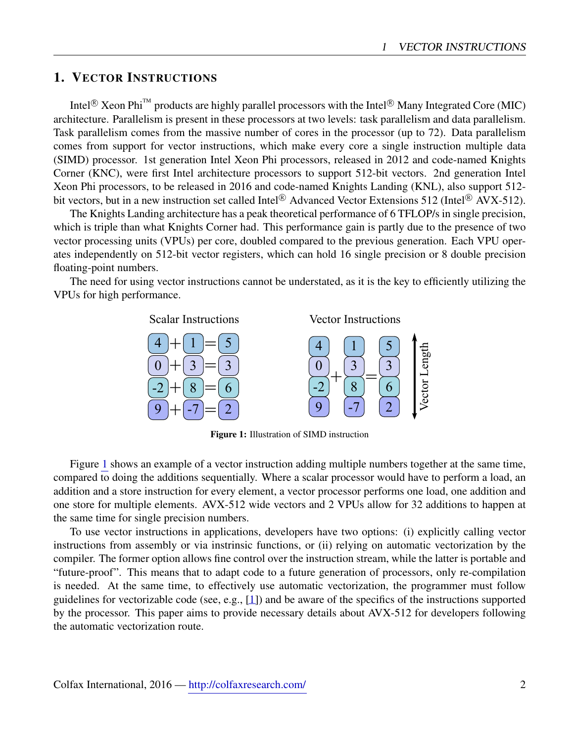## <span id="page-1-0"></span>1. VECTOR INSTRUCTIONS

Intel<sup>®</sup> Xeon Phi<sup>™</sup> products are highly parallel processors with the Intel<sup>®</sup> Many Integrated Core (MIC) architecture. Parallelism is present in these processors at two levels: task parallelism and data parallelism. Task parallelism comes from the massive number of cores in the processor (up to 72). Data parallelism comes from support for vector instructions, which make every core a single instruction multiple data (SIMD) processor. 1st generation Intel Xeon Phi processors, released in 2012 and code-named Knights Corner (KNC), were first Intel architecture processors to support 512-bit vectors. 2nd generation Intel Xeon Phi processors, to be released in 2016 and code-named Knights Landing (KNL), also support 512 bit vectors, but in a new instruction set called Intel<sup>®</sup> Advanced Vector Extensions 512 (Intel<sup>®</sup> AVX-512).

The Knights Landing architecture has a peak theoretical performance of 6 TFLOP/s in single precision, which is triple than what Knights Corner had. This performance gain is partly due to the presence of two vector processing units (VPUs) per core, doubled compared to the previous generation. Each VPU operates independently on 512-bit vector registers, which can hold 16 single precision or 8 double precision floating-point numbers.

<span id="page-1-1"></span>The need for using vector instructions cannot be understated, as it is the key to efficiently utilizing the VPUs for high performance.



Figure 1: Illustration of SIMD instruction

Figure [1](#page-1-1) shows an example of a vector instruction adding multiple numbers together at the same time, compared to doing the additions sequentially. Where a scalar processor would have to perform a load, an addition and a store instruction for every element, a vector processor performs one load, one addition and one store for multiple elements. AVX-512 wide vectors and 2 VPUs allow for 32 additions to happen at the same time for single precision numbers.

To use vector instructions in applications, developers have two options: (i) explicitly calling vector instructions from assembly or via instrinsic functions, or (ii) relying on automatic vectorization by the compiler. The former option allows fine control over the instruction stream, while the latter is portable and "future-proof". This means that to adapt code to a future generation of processors, only re-compilation is needed. At the same time, to effectively use automatic vectorization, the programmer must follow guidelines for vectorizable code (see, e.g., [\[1\]](#page-9-0)) and be aware of the specifics of the instructions supported by the processor. This paper aims to provide necessary details about AVX-512 for developers following the automatic vectorization route.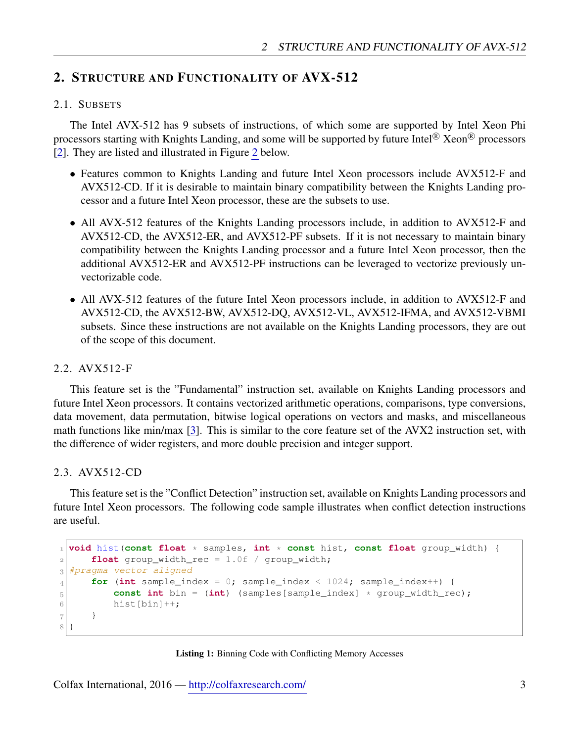## <span id="page-2-0"></span>2. STRUCTURE AND FUNCTIONALITY OF AVX-512

## <span id="page-2-1"></span>2.1. SUBSETS

The Intel AVX-512 has 9 subsets of instructions, of which some are supported by Intel Xeon Phi processors starting with Knights Landing, and some will be supported by future Intel® Xeon® processors [\[2\]](#page-9-1). They are listed and illustrated in Figure [2](#page-3-2) below.

- Features common to Knights Landing and future Intel Xeon processors include AVX512-F and AVX512-CD. If it is desirable to maintain binary compatibility between the Knights Landing processor and a future Intel Xeon processor, these are the subsets to use.
- All AVX-512 features of the Knights Landing processors include, in addition to AVX512-F and AVX512-CD, the AVX512-ER, and AVX512-PF subsets. If it is not necessary to maintain binary compatibility between the Knights Landing processor and a future Intel Xeon processor, then the additional AVX512-ER and AVX512-PF instructions can be leveraged to vectorize previously unvectorizable code.
- All AVX-512 features of the future Intel Xeon processors include, in addition to AVX512-F and AVX512-CD, the AVX512-BW, AVX512-DQ, AVX512-VL, AVX512-IFMA, and AVX512-VBMI subsets. Since these instructions are not available on the Knights Landing processors, they are out of the scope of this document.

### <span id="page-2-2"></span>2.2. AVX512-F

This feature set is the "Fundamental" instruction set, available on Knights Landing processors and future Intel Xeon processors. It contains vectorized arithmetic operations, comparisons, type conversions, data movement, data permutation, bitwise logical operations on vectors and masks, and miscellaneous math functions like min/max [\[3\]](#page-9-2). This is similar to the core feature set of the AVX2 instruction set, with the difference of wider registers, and more double precision and integer support.

#### <span id="page-2-3"></span>2.3. AVX512-CD

This feature set is the "Conflict Detection" instruction set, available on Knights Landing processors and future Intel Xeon processors. The following code sample illustrates when conflict detection instructions are useful.

```
 void hist(const float * samples, int * const hist, const float group_width) {
 float group_width_rec = 1.0f / group_width;
 #pragma vector aligned
for (int sample_index = 0; sample_index < 1024; sample_index++) {
 const int bin = (int) (samples[sample_index] * group_width_rec);
6 hist [bin] ++;
7 }
8}
```


Colfax International, 2016 — <http://colfaxresearch.com/> 3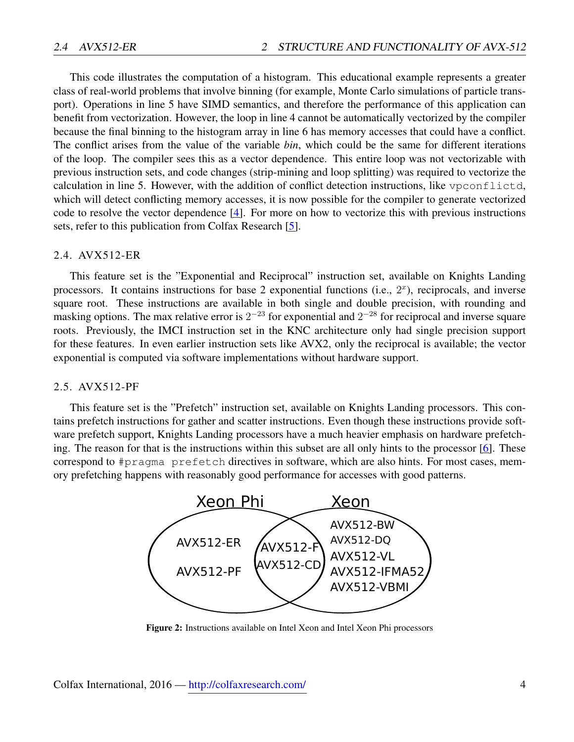This code illustrates the computation of a histogram. This educational example represents a greater class of real-world problems that involve binning (for example, Monte Carlo simulations of particle transport). Operations in line 5 have SIMD semantics, and therefore the performance of this application can benefit from vectorization. However, the loop in line 4 cannot be automatically vectorized by the compiler because the final binning to the histogram array in line 6 has memory accesses that could have a conflict. The conflict arises from the value of the variable *bin*, which could be the same for different iterations of the loop. The compiler sees this as a vector dependence. This entire loop was not vectorizable with previous instruction sets, and code changes (strip-mining and loop splitting) was required to vectorize the calculation in line 5. However, with the addition of conflict detection instructions, like vpconflictd, which will detect conflicting memory accesses, it is now possible for the compiler to generate vectorized code to resolve the vector dependence [\[4\]](#page-9-3). For more on how to vectorize this with previous instructions sets, refer to this publication from Colfax Research [\[5\]](#page-9-4).

#### <span id="page-3-0"></span>2.4. AVX512-ER

This feature set is the "Exponential and Reciprocal" instruction set, available on Knights Landing processors. It contains instructions for base 2 exponential functions (i.e.,  $2<sup>x</sup>$ ), reciprocals, and inverse square root. These instructions are available in both single and double precision, with rounding and masking options. The max relative error is  $2^{-23}$  for exponential and  $2^{-28}$  for reciprocal and inverse square roots. Previously, the IMCI instruction set in the KNC architecture only had single precision support for these features. In even earlier instruction sets like AVX2, only the reciprocal is available; the vector exponential is computed via software implementations without hardware support.

## <span id="page-3-1"></span>2.5. AVX512-PF

This feature set is the "Prefetch" instruction set, available on Knights Landing processors. This contains prefetch instructions for gather and scatter instructions. Even though these instructions provide software prefetch support, Knights Landing processors have a much heavier emphasis on hardware prefetching. The reason for that is the instructions within this subset are all only hints to the processor [\[6\]](#page-9-5). These correspond to #pragma prefetch directives in software, which are also hints. For most cases, memory prefetching happens with reasonably good performance for accesses with good patterns.

<span id="page-3-2"></span>

Figure 2: Instructions available on Intel Xeon and Intel Xeon Phi processors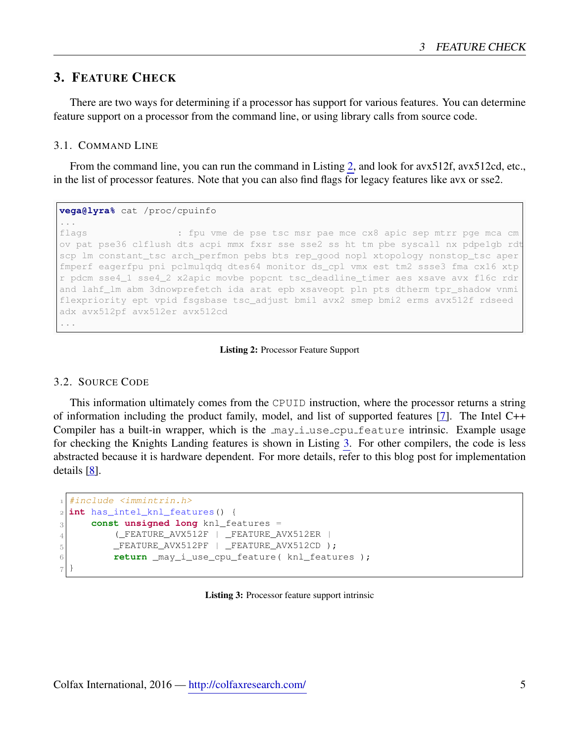## <span id="page-4-0"></span>3. FEATURE CHECK

There are two ways for determining if a processor has support for various features. You can determine feature support on a processor from the command line, or using library calls from source code.

### <span id="page-4-1"></span>3.1. COMMAND LINE

From the command line, you can run the command in Listing [2,](#page-4-3) and look for avx512f, avx512cd, etc., in the list of processor features. Note that you can also find flags for legacy features like avx or sse2.

```
vega@lyra% cat /proc/cpuinfo
...
flags : fpu vme de pse tsc msr pae mce cx8 apic sep mtrr pge mca cm
ov pat pse36 clflush dts acpi mmx fxsr sse sse2 ss ht tm pbe syscall nx pdpe1gb rdt
scp lm constant_tsc arch_perfmon pebs bts rep_good nopl xtopology nonstop_tsc aper
fmperf eagerfpu pni pclmulqdq dtes64 monitor ds_cpl vmx est tm2 ssse3 fma cx16 xtp
r pdcm sse4_1 sse4_2 x2apic movbe popcnt tsc_deadline_timer aes xsave avx f16c rdr
and lahf_lm abm 3dnowprefetch ida arat epb xsaveopt pln pts dtherm tpr_shadow vnmi
flexpriority ept vpid fsgsbase tsc_adjust bmi1 avx2 smep bmi2 erms avx512f rdseed
adx avx512pf avx512er avx512cd
...
```
Listing 2: Processor Feature Support

### <span id="page-4-2"></span>3.2. SOURCE CODE

This information ultimately comes from the CPUID instruction, where the processor returns a string of information including the product family, model, and list of supported features [\[7\]](#page-9-6). The Intel C++ Compiler has a built-in wrapper, which is the  $\text{may}-i$  use cpu feature intrinsic. Example usage for checking the Knights Landing features is shown in Listing [3.](#page-4-4) For other compilers, the code is less abstracted because it is hardware dependent. For more details, refer to this blog post for implementation details [\[8\]](#page-9-7).

```
 #include <immintrin.h>
 int has_intel_knl_features() {
 const unsigned long knl_features =
 (_FEATURE_AVX512F | _FEATURE_AVX512ER |
_5 \_FEATURE\_AVX512PF \_FEATURE\_AVX512CD );
6 return _may_i_use_cpu_feature( knl_features );
7}
```
#### Listing 3: Processor feature support intrinsic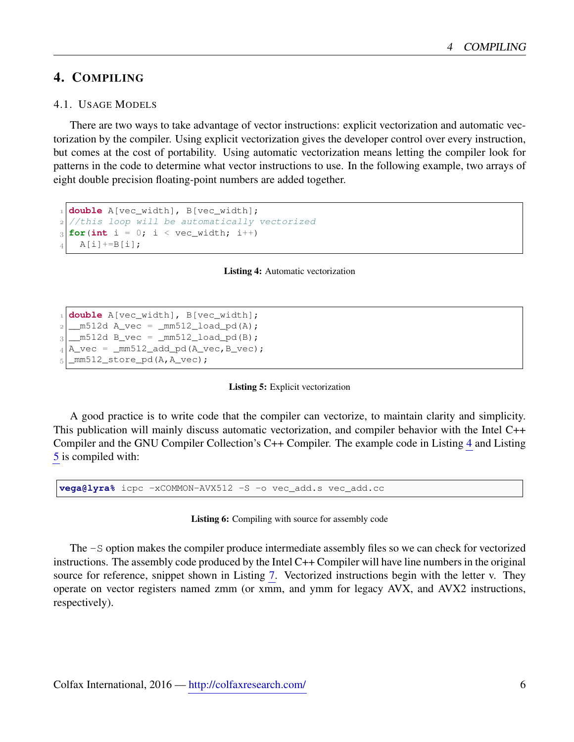## <span id="page-5-0"></span>4. COMPILING

### <span id="page-5-1"></span>4.1. USAGE MODELS

There are two ways to take advantage of vector instructions: explicit vectorization and automatic vectorization by the compiler. Using explicit vectorization gives the developer control over every instruction, but comes at the cost of portability. Using automatic vectorization means letting the compiler look for patterns in the code to determine what vector instructions to use. In the following example, two arrays of eight double precision floating-point numbers are added together.

```
 double A[vec_width], B[vec_width];
  //this loop will be automatically vectorized
f(x) = 0; i < vec_width; i++)
   A[i] +=B[i];
```
Listing 4: Automatic vectorization

```
 double A[vec_width], B[vec_width];
  m512d A vec = mm512 load pd(A);
  \_m512d B\_vec = _mm512\_load\_pd(B);_4| A_vec = _mm512_add_pd(A_vec, B_vec);
   _mm512_store_pd(A,A_vec);
```
Listing 5: Explicit vectorization

A good practice is to write code that the compiler can vectorize, to maintain clarity and simplicity. This publication will mainly discuss automatic vectorization, and compiler behavior with the Intel C++ Compiler and the GNU Compiler Collection's C++ Compiler. The example code in Listing [4](#page-5-2) and Listing [5](#page-5-3) is compiled with:

<span id="page-5-4"></span>**vega@lyra%** icpc -xCOMMON-AVX512 -S -o vec\_add.s vec\_add.cc

Listing 6: Compiling with source for assembly code

The -S option makes the compiler produce intermediate assembly files so we can check for vectorized instructions. The assembly code produced by the Intel C++ Compiler will have line numbers in the original source for reference, snippet shown in Listing [7.](#page-6-1) Vectorized instructions begin with the letter v. They operate on vector registers named zmm (or xmm, and ymm for legacy AVX, and AVX2 instructions, respectively).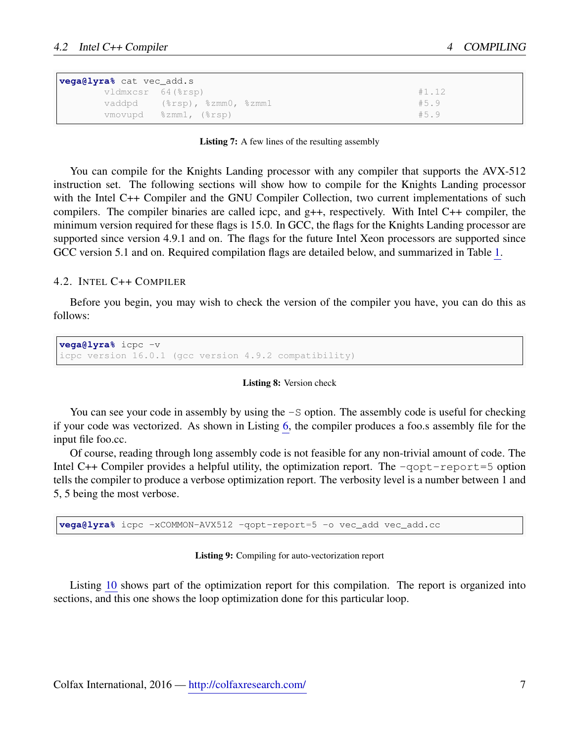<span id="page-6-1"></span>

| <b>vega@lyra%</b> cat vec_add.s |                             |       |  |  |  |  |
|---------------------------------|-----------------------------|-------|--|--|--|--|
| vldmxcsr 64(%rsp)               |                             | #1.12 |  |  |  |  |
|                                 | vaddpd (%rsp), %zmm0, %zmm1 | #5.9  |  |  |  |  |
|                                 | vmovupd %zmm1, (%rsp)       | #5.9  |  |  |  |  |

Listing 7: A few lines of the resulting assembly

You can compile for the Knights Landing processor with any compiler that supports the AVX-512 instruction set. The following sections will show how to compile for the Knights Landing processor with the Intel C++ Compiler and the GNU Compiler Collection, two current implementations of such compilers. The compiler binaries are called icpc, and  $g++$ , respectively. With Intel C $++$  compiler, the minimum version required for these flags is 15.0. In GCC, the flags for the Knights Landing processor are supported since version 4.9.1 and on. The flags for the future Intel Xeon processors are supported since GCC version 5.1 and on. Required compilation flags are detailed below, and summarized in Table [1.](#page-9-8)

#### <span id="page-6-0"></span>4.2. INTEL C++ COMPILER

Before you begin, you may wish to check the version of the compiler you have, you can do this as follows:

```
vega@lyra% icpc -v
icpc version 16.0.1 (gcc version 4.9.2 compatibility)
```
#### Listing 8: Version check

You can see your code in assembly by using the  $-S$  option. The assembly code is useful for checking if your code was vectorized. As shown in Listing [6,](#page-5-4) the compiler produces a foo.s assembly file for the input file foo.cc.

Of course, reading through long assembly code is not feasible for any non-trivial amount of code. The Intel  $C++$  Compiler provides a helpful utility, the optimization report. The  $-q$ opt-report=5 option tells the compiler to produce a verbose optimization report. The verbosity level is a number between 1 and 5, 5 being the most verbose.

**vega@lyra%** icpc -xCOMMON-AVX512 -qopt-report=5 -o vec\_add vec\_add.cc

Listing 9: Compiling for auto-vectorization report

Listing [10](#page-7-1) shows part of the optimization report for this compilation. The report is organized into sections, and this one shows the loop optimization done for this particular loop.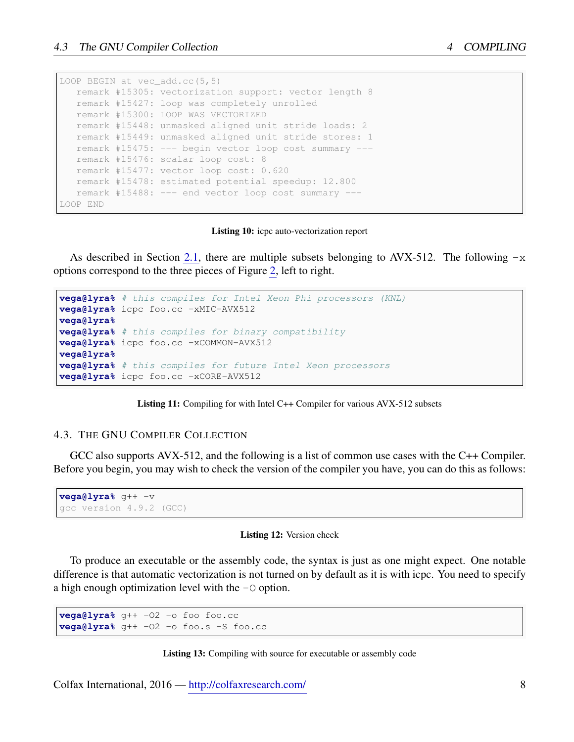<span id="page-7-1"></span>

|          | LOOP BEGIN at vec $add\cdot cc(5, 5)$                 |
|----------|-------------------------------------------------------|
|          | remark #15305: vectorization support: vector length 8 |
|          | remark #15427: loop was completely unrolled           |
|          | remark #15300: LOOP WAS VECTORIZED                    |
|          | remark #15448: unmasked aligned unit stride loads: 2  |
|          | remark #15449: unmasked aligned unit stride stores: 1 |
|          | remark #15475: --- begin vector loop cost summary --- |
|          | remark #15476: scalar loop cost: 8                    |
|          | remark #15477: vector loop cost: 0.620                |
|          | remark #15478: estimated potential speedup: 12.800    |
|          | remark #15488: --- end vector loop cost summary ---   |
| LOOP END |                                                       |

#### Listing 10: icpc auto-vectorization report

As described in Section [2.1,](#page-2-1) there are multiple subsets belonging to AVX-512. The following  $-x$ options correspond to the three pieces of Figure [2,](#page-3-2) left to right.

```
vega@lyra% # this compiles for Intel Xeon Phi processors (KNL)
vega@lyra% icpc foo.cc -xMIC-AVX512
vega@lyra%
vega@lyra% # this compiles for binary compatibility
vega@lyra% icpc foo.cc -xCOMMON-AVX512
vega@lyra%
vega@lyra% # this compiles for future Intel Xeon processors
vega@lyra% icpc foo.cc -xCORE-AVX512
```
Listing 11: Compiling for with Intel C++ Compiler for various AVX-512 subsets

#### <span id="page-7-0"></span>4.3. THE GNU COMPILER COLLECTION

GCC also supports AVX-512, and the following is a list of common use cases with the C++ Compiler. Before you begin, you may wish to check the version of the compiler you have, you can do this as follows:

```
vega@lyra% g++ -v
gcc version 4.9.2 (GCC)
```
#### Listing 12: Version check

To produce an executable or the assembly code, the syntax is just as one might expect. One notable difference is that automatic vectorization is not turned on by default as it is with icpc. You need to specify a high enough optimization level with the  $-\circ$  option.

```
vega@lyra% g++ -O2 -o foo foo.cc
vega@lyra% g++ -O2 -o foo.s -S foo.cc
```
#### Listing 13: Compiling with source for executable or assembly code

Colfax International, 2016 — <http://colfaxresearch.com/> 8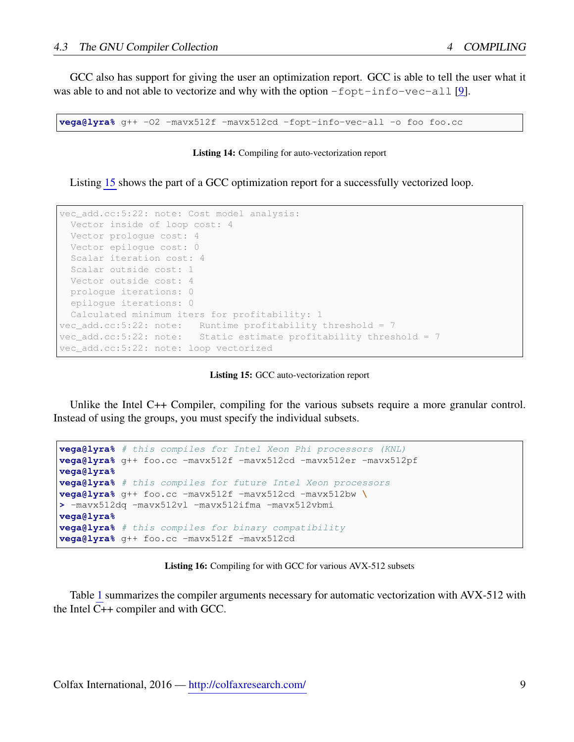GCC also has support for giving the user an optimization report. GCC is able to tell the user what it was able to and not able to vectorize and why with the option  $-f$ opt-info-vec-all [\[9\]](#page-9-9).

**vega@lyra%** g++ -O2 -mavx512f -mavx512cd -fopt-info-vec-all -o foo foo.cc

#### Listing 14: Compiling for auto-vectorization report

Listing [15](#page-8-0) shows the part of a GCC optimization report for a successfully vectorized loop.

```
vec_add.cc:5:22: note: Cost model analysis:
 Vector inside of loop cost: 4
 Vector prologue cost: 4
 Vector epilogue cost: 0
 Scalar iteration cost: 4
 Scalar outside cost: 1
 Vector outside cost: 4
prologue iterations: 0
epilogue iterations: 0
Calculated minimum iters for profitability: 1
vec_add.cc:5:22: note: Runtime profitability threshold = 7
vec_add.cc:5:22: note: Static estimate profitability threshold = 7
vec_add.cc:5:22: note: loop vectorized
```
Listing 15: GCC auto-vectorization report

Unlike the Intel C++ Compiler, compiling for the various subsets require a more granular control. Instead of using the groups, you must specify the individual subsets.

```
vega@lyra% # this compiles for Intel Xeon Phi processors (KNL)
vega@lyra% g++ foo.cc -mavx512f -mavx512cd -mavx512er -mavx512pf
vega@lyra%
vega@lyra% # this compiles for future Intel Xeon processors
vega@lyra% g++ foo.cc -mavx512f -mavx512cd -mavx512bw \
> -mavx512dq -mavx512vl -mavx512ifma -mavx512vbmi
vega@lyra%
vega@lyra% # this compiles for binary compatibility
vega@lyra% g++ foo.cc -mavx512f -mavx512cd
```
Listing 16: Compiling for with GCC for various AVX-512 subsets

Table [1](#page-9-8) summarizes the compiler arguments necessary for automatic vectorization with AVX-512 with the Intel C++ compiler and with GCC.